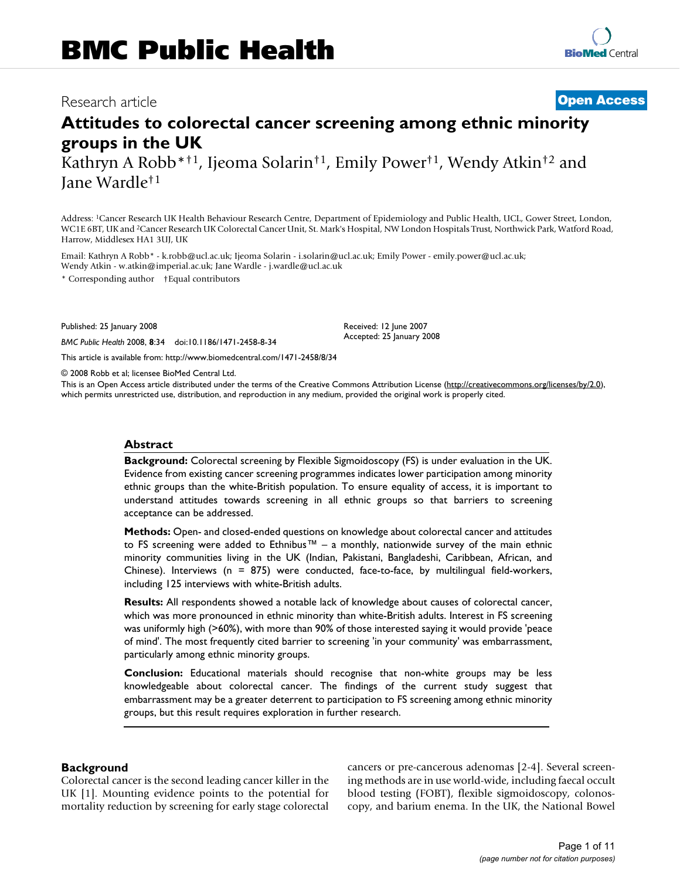# Research article **[Open Access](http://www.biomedcentral.com/info/about/charter/)**

# **Attitudes to colorectal cancer screening among ethnic minority groups in the UK** Kathryn A Robb\*†1, Ijeoma Solarin†1, Emily Power†1, Wendy Atkin†2 and

Jane Wardle†1

Address: 1Cancer Research UK Health Behaviour Research Centre, Department of Epidemiology and Public Health, UCL, Gower Street, London, WC1E 6BT, UK and 2Cancer Research UK Colorectal Cancer Unit, St. Mark's Hospital, NW London Hospitals Trust, Northwick Park, Watford Road, Harrow, Middlesex HA1 3UJ, UK

Email: Kathryn A Robb\* - k.robb@ucl.ac.uk; Ijeoma Solarin - i.solarin@ucl.ac.uk; Emily Power - emily.power@ucl.ac.uk; Wendy Atkin - w.atkin@imperial.ac.uk; Jane Wardle - j.wardle@ucl.ac.uk

\* Corresponding author †Equal contributors

Published: 25 January 2008

*BMC Public Health* 2008, **8**:34 doi:10.1186/1471-2458-8-34

[This article is available from: http://www.biomedcentral.com/1471-2458/8/34](http://www.biomedcentral.com/1471-2458/8/34)

© 2008 Robb et al; licensee BioMed Central Ltd.

This is an Open Access article distributed under the terms of the Creative Commons Attribution License [\(http://creativecommons.org/licenses/by/2.0\)](http://creativecommons.org/licenses/by/2.0), which permits unrestricted use, distribution, and reproduction in any medium, provided the original work is properly cited.

Received: 12 June 2007 Accepted: 25 January 2008

#### **Abstract**

**Background:** Colorectal screening by Flexible Sigmoidoscopy (FS) is under evaluation in the UK. Evidence from existing cancer screening programmes indicates lower participation among minority ethnic groups than the white-British population. To ensure equality of access, it is important to understand attitudes towards screening in all ethnic groups so that barriers to screening acceptance can be addressed.

**Methods:** Open- and closed-ended questions on knowledge about colorectal cancer and attitudes to FS screening were added to Ethnibus™ – a monthly, nationwide survey of the main ethnic minority communities living in the UK (Indian, Pakistani, Bangladeshi, Caribbean, African, and Chinese). Interviews ( $n = 875$ ) were conducted, face-to-face, by multilingual field-workers, including 125 interviews with white-British adults.

**Results:** All respondents showed a notable lack of knowledge about causes of colorectal cancer, which was more pronounced in ethnic minority than white-British adults. Interest in FS screening was uniformly high (>60%), with more than 90% of those interested saying it would provide 'peace of mind'. The most frequently cited barrier to screening 'in your community' was embarrassment, particularly among ethnic minority groups.

**Conclusion:** Educational materials should recognise that non-white groups may be less knowledgeable about colorectal cancer. The findings of the current study suggest that embarrassment may be a greater deterrent to participation to FS screening among ethnic minority groups, but this result requires exploration in further research.

#### **Background**

Colorectal cancer is the second leading cancer killer in the UK [1]. Mounting evidence points to the potential for mortality reduction by screening for early stage colorectal cancers or pre-cancerous adenomas [2-4]. Several screening methods are in use world-wide, including faecal occult blood testing (FOBT), flexible sigmoidoscopy, colonoscopy, and barium enema. In the UK, the National Bowel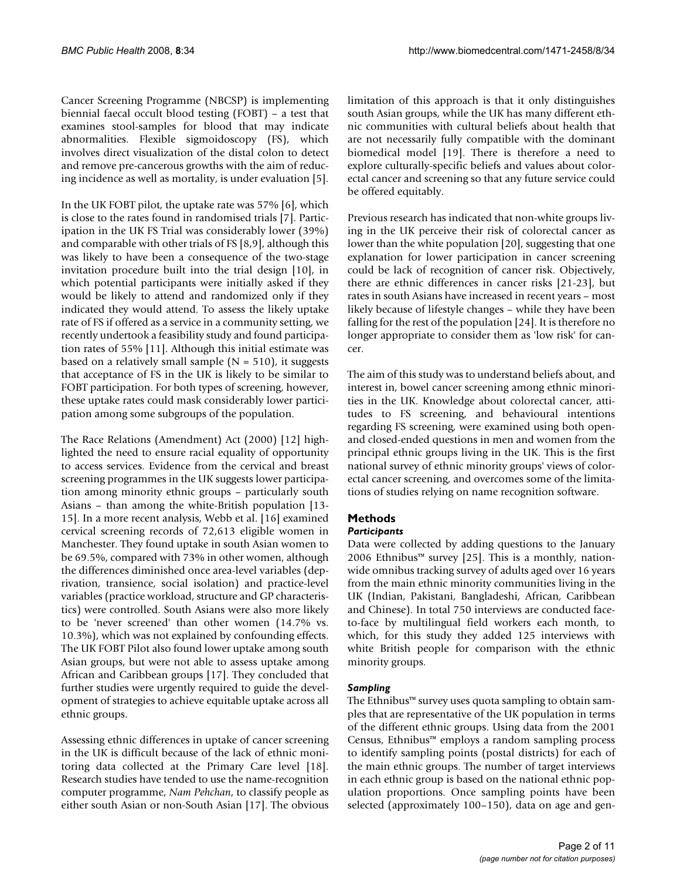Cancer Screening Programme (NBCSP) is implementing biennial faecal occult blood testing (FOBT) – a test that examines stool-samples for blood that may indicate abnormalities. Flexible sigmoidoscopy (FS), which involves direct visualization of the distal colon to detect and remove pre-cancerous growths with the aim of reducing incidence as well as mortality, is under evaluation [5].

In the UK FOBT pilot, the uptake rate was 57% [6], which is close to the rates found in randomised trials [7]. Participation in the UK FS Trial was considerably lower (39%) and comparable with other trials of FS [8,9], although this was likely to have been a consequence of the two-stage invitation procedure built into the trial design [10], in which potential participants were initially asked if they would be likely to attend and randomized only if they indicated they would attend. To assess the likely uptake rate of FS if offered as a service in a community setting, we recently undertook a feasibility study and found participation rates of 55% [11]. Although this initial estimate was based on a relatively small sample  $(N = 510)$ , it suggests that acceptance of FS in the UK is likely to be similar to FOBT participation. For both types of screening, however, these uptake rates could mask considerably lower participation among some subgroups of the population.

The Race Relations (Amendment) Act (2000) [12] highlighted the need to ensure racial equality of opportunity to access services. Evidence from the cervical and breast screening programmes in the UK suggests lower participation among minority ethnic groups – particularly south Asians – than among the white-British population [13- 15]. In a more recent analysis, Webb et al. [16] examined cervical screening records of 72,613 eligible women in Manchester. They found uptake in south Asian women to be 69.5%, compared with 73% in other women, although the differences diminished once area-level variables (deprivation, transience, social isolation) and practice-level variables (practice workload, structure and GP characteristics) were controlled. South Asians were also more likely to be 'never screened' than other women (14.7% vs. 10.3%), which was not explained by confounding effects. The UK FOBT Pilot also found lower uptake among south Asian groups, but were not able to assess uptake among African and Caribbean groups [17]. They concluded that further studies were urgently required to guide the development of strategies to achieve equitable uptake across all ethnic groups.

Assessing ethnic differences in uptake of cancer screening in the UK is difficult because of the lack of ethnic monitoring data collected at the Primary Care level [18]. Research studies have tended to use the name-recognition computer programme, *Nam Pehchan*, to classify people as either south Asian or non-South Asian [17]. The obvious

limitation of this approach is that it only distinguishes south Asian groups, while the UK has many different ethnic communities with cultural beliefs about health that are not necessarily fully compatible with the dominant biomedical model [19]. There is therefore a need to explore culturally-specific beliefs and values about colorectal cancer and screening so that any future service could be offered equitably.

Previous research has indicated that non-white groups living in the UK perceive their risk of colorectal cancer as lower than the white population [20], suggesting that one explanation for lower participation in cancer screening could be lack of recognition of cancer risk. Objectively, there are ethnic differences in cancer risks [21-23], but rates in south Asians have increased in recent years – most likely because of lifestyle changes – while they have been falling for the rest of the population [24]. It is therefore no longer appropriate to consider them as 'low risk' for cancer.

The aim of this study was to understand beliefs about, and interest in, bowel cancer screening among ethnic minorities in the UK. Knowledge about colorectal cancer, attitudes to FS screening, and behavioural intentions regarding FS screening, were examined using both openand closed-ended questions in men and women from the principal ethnic groups living in the UK. This is the first national survey of ethnic minority groups' views of colorectal cancer screening, and overcomes some of the limitations of studies relying on name recognition software.

## **Methods**

### *Participants*

Data were collected by adding questions to the January 2006 Ethnibus™ survey [25]. This is a monthly, nationwide omnibus tracking survey of adults aged over 16 years from the main ethnic minority communities living in the UK (Indian, Pakistani, Bangladeshi, African, Caribbean and Chinese). In total 750 interviews are conducted faceto-face by multilingual field workers each month, to which, for this study they added 125 interviews with white British people for comparison with the ethnic minority groups.

#### *Sampling*

The Ethnibus™ survey uses quota sampling to obtain samples that are representative of the UK population in terms of the different ethnic groups. Using data from the 2001 Census, Ethnibus™ employs a random sampling process to identify sampling points (postal districts) for each of the main ethnic groups. The number of target interviews in each ethnic group is based on the national ethnic population proportions. Once sampling points have been selected (approximately 100–150), data on age and gen-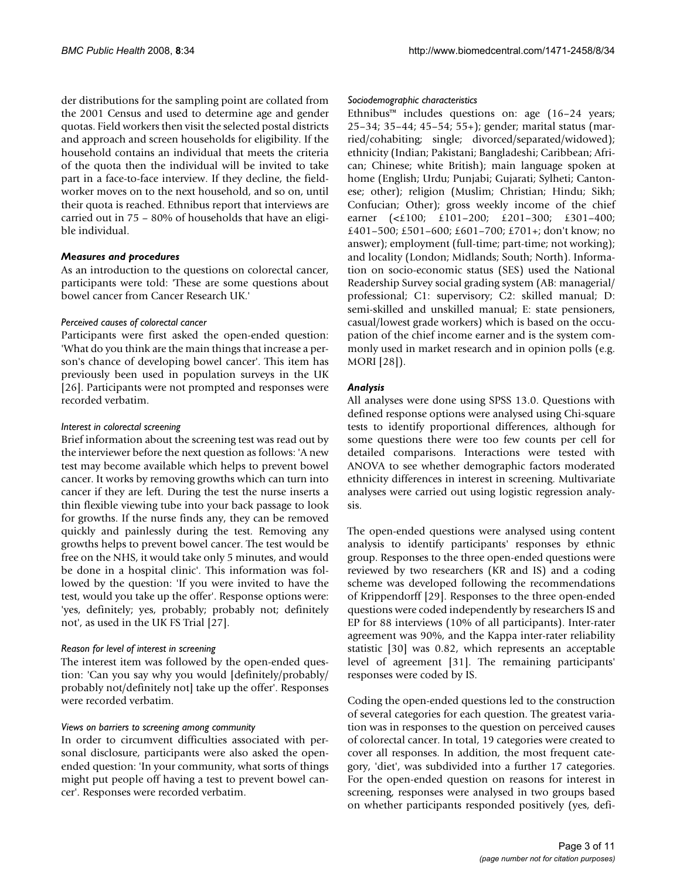der distributions for the sampling point are collated from the 2001 Census and used to determine age and gender quotas. Field workers then visit the selected postal districts and approach and screen households for eligibility. If the household contains an individual that meets the criteria of the quota then the individual will be invited to take part in a face-to-face interview. If they decline, the fieldworker moves on to the next household, and so on, until their quota is reached. Ethnibus report that interviews are carried out in 75 – 80% of households that have an eligible individual.

#### *Measures and procedures*

As an introduction to the questions on colorectal cancer, participants were told: 'These are some questions about bowel cancer from Cancer Research UK.'

#### *Perceived causes of colorectal cancer*

Participants were first asked the open-ended question: 'What do you think are the main things that increase a person's chance of developing bowel cancer'. This item has previously been used in population surveys in the UK [26]. Participants were not prompted and responses were recorded verbatim.

#### *Interest in colorectal screening*

Brief information about the screening test was read out by the interviewer before the next question as follows: 'A new test may become available which helps to prevent bowel cancer. It works by removing growths which can turn into cancer if they are left. During the test the nurse inserts a thin flexible viewing tube into your back passage to look for growths. If the nurse finds any, they can be removed quickly and painlessly during the test. Removing any growths helps to prevent bowel cancer. The test would be free on the NHS, it would take only 5 minutes, and would be done in a hospital clinic'. This information was followed by the question: 'If you were invited to have the test, would you take up the offer'. Response options were: 'yes, definitely; yes, probably; probably not; definitely not', as used in the UK FS Trial [27].

#### *Reason for level of interest in screening*

The interest item was followed by the open-ended question: 'Can you say why you would [definitely/probably/ probably not/definitely not] take up the offer'. Responses were recorded verbatim.

#### *Views on barriers to screening among community*

In order to circumvent difficulties associated with personal disclosure, participants were also asked the openended question: 'In your community, what sorts of things might put people off having a test to prevent bowel cancer'. Responses were recorded verbatim.

#### *Sociodemographic characteristics*

Ethnibus™ includes questions on: age (16–24 years; 25–34; 35–44; 45–54; 55+); gender; marital status (married/cohabiting; single; divorced/separated/widowed); ethnicity (Indian; Pakistani; Bangladeshi; Caribbean; African; Chinese; white British); main language spoken at home (English; Urdu; Punjabi; Gujarati; Sylheti; Cantonese; other); religion (Muslim; Christian; Hindu; Sikh; Confucian; Other); gross weekly income of the chief earner (<£100; £101–200; £201–300; £301–400; £401–500; £501–600; £601–700; £701+; don't know; no answer); employment (full-time; part-time; not working); and locality (London; Midlands; South; North). Information on socio-economic status (SES) used the National Readership Survey social grading system (AB: managerial/ professional; C1: supervisory; C2: skilled manual; D: semi-skilled and unskilled manual; E: state pensioners, casual/lowest grade workers) which is based on the occupation of the chief income earner and is the system commonly used in market research and in opinion polls (e.g. MORI [28]).

#### *Analysis*

All analyses were done using SPSS 13.0. Questions with defined response options were analysed using Chi-square tests to identify proportional differences, although for some questions there were too few counts per cell for detailed comparisons. Interactions were tested with ANOVA to see whether demographic factors moderated ethnicity differences in interest in screening. Multivariate analyses were carried out using logistic regression analysis.

The open-ended questions were analysed using content analysis to identify participants' responses by ethnic group. Responses to the three open-ended questions were reviewed by two researchers (KR and IS) and a coding scheme was developed following the recommendations of Krippendorff [29]. Responses to the three open-ended questions were coded independently by researchers IS and EP for 88 interviews (10% of all participants). Inter-rater agreement was 90%, and the Kappa inter-rater reliability statistic [30] was 0.82, which represents an acceptable level of agreement [31]. The remaining participants' responses were coded by IS.

Coding the open-ended questions led to the construction of several categories for each question. The greatest variation was in responses to the question on perceived causes of colorectal cancer. In total, 19 categories were created to cover all responses. In addition, the most frequent category, 'diet', was subdivided into a further 17 categories. For the open-ended question on reasons for interest in screening, responses were analysed in two groups based on whether participants responded positively (yes, defi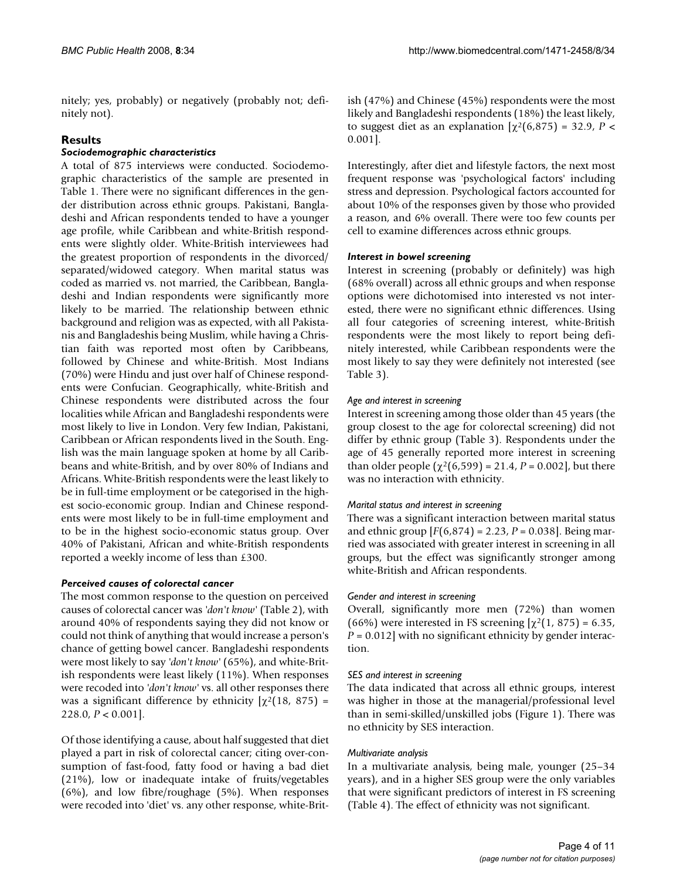nitely; yes, probably) or negatively (probably not; definitely not).

#### **Results**

#### *Sociodemographic characteristics*

A total of 875 interviews were conducted. Sociodemographic characteristics of the sample are presented in Table 1. There were no significant differences in the gender distribution across ethnic groups. Pakistani, Bangladeshi and African respondents tended to have a younger age profile, while Caribbean and white-British respondents were slightly older. White-British interviewees had the greatest proportion of respondents in the divorced/ separated/widowed category. When marital status was coded as married vs. not married, the Caribbean, Bangladeshi and Indian respondents were significantly more likely to be married. The relationship between ethnic background and religion was as expected, with all Pakistanis and Bangladeshis being Muslim, while having a Christian faith was reported most often by Caribbeans, followed by Chinese and white-British. Most Indians (70%) were Hindu and just over half of Chinese respondents were Confucian. Geographically, white-British and Chinese respondents were distributed across the four localities while African and Bangladeshi respondents were most likely to live in London. Very few Indian, Pakistani, Caribbean or African respondents lived in the South. English was the main language spoken at home by all Caribbeans and white-British, and by over 80% of Indians and Africans. White-British respondents were the least likely to be in full-time employment or be categorised in the highest socio-economic group. Indian and Chinese respondents were most likely to be in full-time employment and to be in the highest socio-economic status group. Over 40% of Pakistani, African and white-British respondents reported a weekly income of less than £300.

#### *Perceived causes of colorectal cancer*

The most common response to the question on perceived causes of colorectal cancer was *'don't know'* (Table 2), with around 40% of respondents saying they did not know or could not think of anything that would increase a person's chance of getting bowel cancer. Bangladeshi respondents were most likely to say *'don't know'* (65%), and white-British respondents were least likely (11%). When responses were recoded into *'don't know'* vs. all other responses there was a significant difference by ethnicity  $[\chi^2(18, 875) =$ 228.0, *P* < 0.001].

Of those identifying a cause, about half suggested that diet played a part in risk of colorectal cancer; citing over-consumption of fast-food, fatty food or having a bad diet (21%), low or inadequate intake of fruits/vegetables (6%), and low fibre/roughage (5%). When responses were recoded into 'diet' vs. any other response, white-British (47%) and Chinese (45%) respondents were the most likely and Bangladeshi respondents (18%) the least likely, to suggest diet as an explanation  $[\gamma^2(6,875) = 32.9, P <$ 0.001].

Interestingly, after diet and lifestyle factors, the next most frequent response was 'psychological factors' including stress and depression. Psychological factors accounted for about 10% of the responses given by those who provided a reason, and 6% overall. There were too few counts per cell to examine differences across ethnic groups.

#### *Interest in bowel screening*

Interest in screening (probably or definitely) was high (68% overall) across all ethnic groups and when response options were dichotomised into interested vs not interested, there were no significant ethnic differences. Using all four categories of screening interest, white-British respondents were the most likely to report being definitely interested, while Caribbean respondents were the most likely to say they were definitely not interested (see Table 3).

#### *Age and interest in screening*

Interest in screening among those older than 45 years (the group closest to the age for colorectal screening) did not differ by ethnic group (Table 3). Respondents under the age of 45 generally reported more interest in screening than older people  $(χ<sup>2</sup>(6,599) = 21.4, P = 0.002)$ , but there was no interaction with ethnicity.

#### *Marital status and interest in screening*

There was a significant interaction between marital status and ethnic group [*F*(6,874) = 2.23, *P* = 0.038]. Being married was associated with greater interest in screening in all groups, but the effect was significantly stronger among white-British and African respondents.

#### *Gender and interest in screening*

Overall, significantly more men (72%) than women (66%) were interested in FS screening  $[\chi^2(1, 875) = 6.35]$ , *P* = 0.012] with no significant ethnicity by gender interaction.

#### *SES and interest in screening*

The data indicated that across all ethnic groups, interest was higher in those at the managerial/professional level than in semi-skilled/unskilled jobs (Figure 1). There was no ethnicity by SES interaction.

#### *Multivariate analysis*

In a multivariate analysis, being male, younger (25–34 years), and in a higher SES group were the only variables that were significant predictors of interest in FS screening (Table 4). The effect of ethnicity was not significant.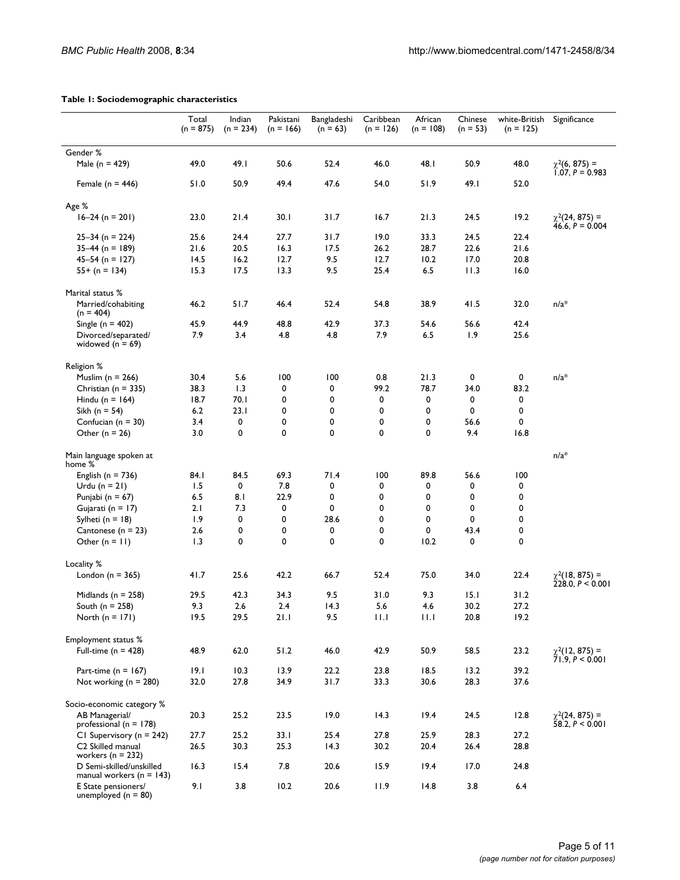#### **Table 1: Sociodemographic characteristics**

|                                                          | Total<br>$(n = 875)$ | Indian<br>$(n = 234)$ | Pakistani<br>$(n = 166)$ | Bangladeshi<br>$(n = 63)$ | Caribbean<br>$(n = 126)$ | African<br>$(n = 108)$ | Chinese<br>$(n = 53)$ | white-British Significance<br>$(n = 125)$ |                                          |
|----------------------------------------------------------|----------------------|-----------------------|--------------------------|---------------------------|--------------------------|------------------------|-----------------------|-------------------------------------------|------------------------------------------|
| Gender %                                                 |                      |                       |                          |                           |                          |                        |                       |                                           |                                          |
| Male (n = 429)                                           | 49.0                 | 49. I                 | 50.6                     | 52.4                      | 46.0                     | 48.I                   | 50.9                  | 48.0                                      | $\chi^2(6, 875) =$<br>$1.07, P = 0.983$  |
| Female ( $n = 446$ )                                     | 51.0                 | 50.9                  | 49.4                     | 47.6                      | 54.0                     | 51.9                   | 49.I                  | 52.0                                      |                                          |
| Age %                                                    |                      |                       |                          |                           |                          |                        |                       |                                           |                                          |
| $16 - 24$ (n = 201)                                      | 23.0                 | 21.4                  | 30.1                     | 31.7                      | 16.7                     | 21.3                   | 24.5                  | 19.2                                      | $\chi^2(24, 875) =$<br>46.6, $P = 0.004$ |
| $25 - 34$ (n = 224)                                      | 25.6                 | 24.4                  | 27.7                     | 31.7                      | 19.0                     | 33.3                   | 24.5                  | 22.4                                      |                                          |
| $35-44$ (n = 189)                                        | 21.6                 | 20.5                  | 16.3                     | 17.5                      | 26.2                     | 28.7                   | 22.6                  | 21.6                                      |                                          |
| $45 - 54$ (n = 127)                                      | 14.5                 | 16.2                  | 12.7                     | 9.5                       | 12.7                     | 10.2                   | 17.0                  | 20.8                                      |                                          |
| $55+ (n = 134)$                                          | 15.3                 | 17.5                  | 13.3                     | 9.5                       | 25.4                     | 6.5                    | 11.3                  | 16.0                                      |                                          |
| Marital status %                                         |                      |                       |                          |                           |                          |                        |                       |                                           |                                          |
| Married/cohabiting<br>$(n = 404)$                        | 46.2                 | 51.7                  | 46.4                     | 52.4                      | 54.8                     | 38.9                   | 41.5                  | 32.0                                      | $n/a^*$                                  |
| Single ( $n = 402$ )                                     | 45.9                 | 44.9                  | 48.8                     | 42.9                      | 37.3                     | 54.6                   | 56.6                  | 42.4                                      |                                          |
| Divorced/separated/<br>widowed ( $n = 69$ )              | 7.9                  | 3.4                   | 4.8                      | 4.8                       | 7.9                      | 6.5                    | 1.9                   | 25.6                                      |                                          |
| Religion %                                               |                      |                       |                          |                           |                          |                        |                       |                                           |                                          |
| Muslim (n = 266)                                         | 30.4                 | 5.6                   | 100                      | 100                       | 0.8                      | 21.3                   | 0                     | 0                                         | $n/a^*$                                  |
| Christian ( $n = 335$ )                                  | 38.3                 | 1.3                   | 0                        | 0                         | 99.2                     | 78.7                   | 34.0                  | 83.2                                      |                                          |
| Hindu (n = 164)                                          | 18.7                 | 70. I                 | 0                        | 0                         | 0                        | 0                      | 0                     | 0                                         |                                          |
| Sikh ( $n = 54$ )                                        | 6.2                  | 23.1                  | 0                        | 0                         | 0                        | 0                      | 0                     | 0                                         |                                          |
| Confucian ( $n = 30$ )                                   | 3.4                  | 0                     | 0                        | 0                         | 0                        | 0                      | 56.6                  | 0                                         |                                          |
| Other (n = 26)                                           | 3.0                  | 0                     | 0                        | 0                         | 0                        | 0                      | 9.4                   | 16.8                                      |                                          |
| Main language spoken at<br>home %                        |                      |                       |                          |                           |                          |                        |                       |                                           | $n/a^*$                                  |
| English (n = $736$ )                                     | 84. I                | 84.5                  | 69.3                     | 71.4                      | 100                      | 89.8                   | 56.6                  | 100                                       |                                          |
| Urdu (n = $21$ )                                         | 1.5                  | 0                     | 7.8                      | 0                         | 0                        | 0                      | 0                     | 0                                         |                                          |
| Punjabi (n = $67$ )                                      | 6.5                  | 8.1                   | 22.9                     | 0                         | 0                        | 0                      | 0                     | 0                                         |                                          |
| Gujarati (n = 17)                                        | 2.1                  | 7.3                   | 0                        | 0                         | 0                        | 0                      | 0                     | 0                                         |                                          |
| Sylheti (n = $18$ )                                      | 1.9                  | 0                     | 0                        | 28.6                      | 0                        | 0                      | 0                     | 0                                         |                                          |
| Cantonese ( $n = 23$ )                                   | 2.6                  | 0                     | 0                        | 0                         | 0                        | 0                      | 43.4                  | 0                                         |                                          |
| Other $(n = 11)$                                         | 1.3                  | 0                     | 0                        | 0                         | 0                        | 10.2                   | 0                     | 0                                         |                                          |
| Locality %                                               |                      |                       |                          |                           |                          |                        |                       |                                           |                                          |
| London ( $n = 365$ )                                     | 41.7                 | 25.6                  | 42.2                     | 66.7                      | 52.4                     | 75.0                   | 34.0                  | 22.4                                      | $\chi^2(18, 875) =$<br>228.0, P < 0.001  |
| Midlands ( $n = 258$ )                                   | 29.5                 | 42.3                  | 34.3                     | 9.5                       | 31.0                     | 9.3                    | 15.1                  | 31.2                                      |                                          |
| South ( $n = 258$ )                                      | 9.3                  | 2.6                   | 2.4                      | 14.3                      | 5.6                      | 4.6                    | 30.2                  | 27.2                                      |                                          |
| North ( $n = 171$ )                                      | 19.5                 | 29.5                  | 21.1                     | 9.5                       | 11.1                     | 11.1                   | 20.8                  | 19.2                                      |                                          |
| Employment status %                                      |                      |                       |                          |                           |                          |                        |                       |                                           |                                          |
| Full-time ( $n = 428$ )                                  | 48.9                 | 62.0                  | 51.2                     | 46.0                      | 42.9                     | 50.9                   | 58.5                  | 23.2                                      | $\chi^2(12, 875) =$<br>71.9, P < 0.001   |
| Part-time ( $n = 167$ )                                  | 19.1                 | 10.3                  | 13.9                     | 22.2                      | 23.8                     | 18.5                   | 13.2                  | 39.2                                      |                                          |
| Not working $(n = 280)$                                  | 32.0                 | 27.8                  | 34.9                     | 31.7                      | 33.3                     | 30.6                   | 28.3                  | 37.6                                      |                                          |
| Socio-economic category %                                |                      |                       |                          |                           |                          |                        |                       |                                           |                                          |
| AB Managerial/<br>professional ( $n = 178$ )             | 20.3                 | 25.2                  | 23.5                     | 19.0                      | 14.3                     | 19.4                   | 24.5                  | 12.8                                      | $\chi^2(24, 875) =$<br>58.2, $P < 0.001$ |
| CI Supervisory ( $n = 242$ )                             | 27.7                 | 25.2                  | 33.1                     | 25.4                      | 27.8                     | 25.9                   | 28.3                  | 27.2                                      |                                          |
| C <sub>2</sub> Skilled manual<br>workers ( $n = 232$ )   | 26.5                 | 30.3                  | 25.3                     | 14.3                      | 30.2                     | 20.4                   | 26.4                  | 28.8                                      |                                          |
| D Semi-skilled/unskilled<br>manual workers ( $n = 143$ ) | 16.3                 | 15.4                  | 7.8                      | 20.6                      | 15.9                     | 19.4                   | 17.0                  | 24.8                                      |                                          |
| E State pensioners/<br>unemployed $(n = 80)$             | 9.1                  | 3.8                   | 10.2                     | 20.6                      | 11.9                     | 14.8                   | 3.8                   | $6.4$                                     |                                          |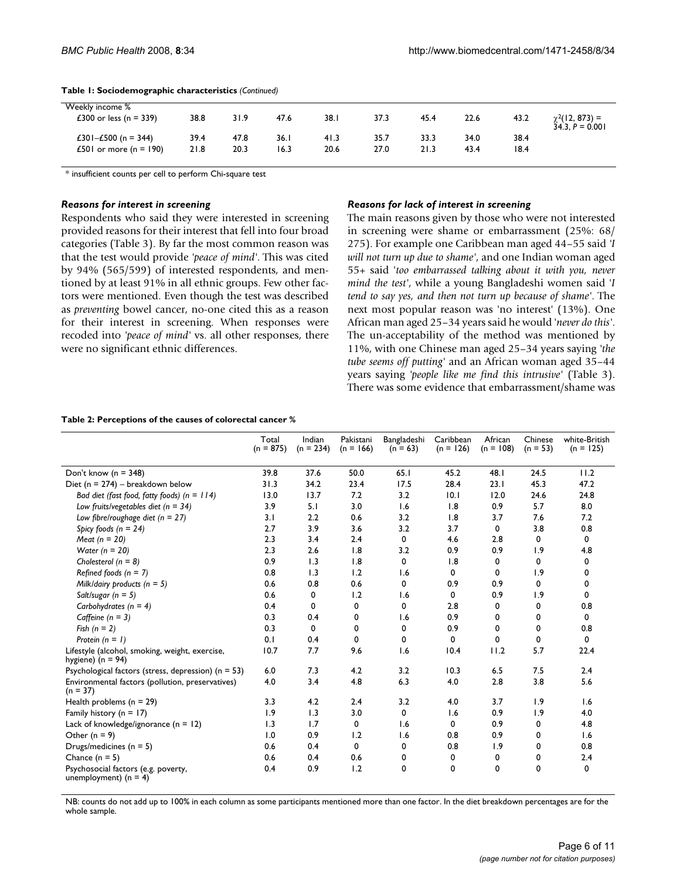| Weekly income %           |      |      |      |       |      |      |      |      |                                             |
|---------------------------|------|------|------|-------|------|------|------|------|---------------------------------------------|
| £300 or less (n = 339)    | 38.8 | 31.9 | 47.6 | 38. I | 37.3 | 45.4 | 22.6 | 43.2 | $\chi^2(12, 873) =$<br>$34.3$ , $P = 0.001$ |
| £301-£500 (n = 344)       | 39.4 | 47.8 | 36.1 | 41.3  | 35.7 | 33.3 | 34.0 | 38.4 |                                             |
| £501 or more (n = $190$ ) | 21.8 | 20.3 | 16.3 | 20.6  | 27.0 | 21.3 | 43.4 | 18.4 |                                             |

#### **Table 1: Sociodemographic characteristics** *(Continued)*

\* insufficient counts per cell to perform Chi-square test

#### *Reasons for interest in screening*

Respondents who said they were interested in screening provided reasons for their interest that fell into four broad categories (Table 3). By far the most common reason was that the test would provide *'peace of mind'*. This was cited by 94% (565/599) of interested respondents, and mentioned by at least 91% in all ethnic groups. Few other factors were mentioned. Even though the test was described as *preventing* bowel cancer, no-one cited this as a reason for their interest in screening. When responses were recoded into *'peace of mind'* vs. all other responses, there were no significant ethnic differences.

275). For example one Caribbean man aged 44–55 said *'I will not turn up due to shame'*, and one Indian woman aged 55+ said '*too embarrassed talking about it with you, never mind the test'*, while a young Bangladeshi women said '*I tend to say yes, and then not turn up because of shame'*. The next most popular reason was 'no interest' (13%). One African man aged 25–34 years said he would '*never do this'*. The un-acceptability of the method was mentioned by 11%, with one Chinese man aged 25–34 years saying *'the tube seems off putting'* and an African woman aged 35–44 years saying *'people like me find this intrusive'* (Table 3). There was some evidence that embarrassment/shame was

The main reasons given by those who were not interested in screening were shame or embarrassment (25%: 68/

*Reasons for lack of interest in screening*

#### **Table 2: Perceptions of the causes of colorectal cancer %**

|                                                                         | Total<br>$(n = 875)$ | Indian<br>$(n = 234)$ | Pakistani<br>$(n = 166)$ | Bangladeshi<br>$(n = 63)$ | Caribbean<br>$(n = 126)$ | African<br>$(n = 108)$ | Chinese<br>$(n = 53)$ | white-British<br>$(n = 125)$ |
|-------------------------------------------------------------------------|----------------------|-----------------------|--------------------------|---------------------------|--------------------------|------------------------|-----------------------|------------------------------|
| Don't know ( $n = 348$ )                                                | 39.8                 | 37.6                  | 50.0                     | 65.1                      | 45.2                     | 48.1                   | 24.5                  | 11.2                         |
| Diet ( $n = 274$ ) – breakdown below                                    | 31.3                 | 34.2                  | 23.4                     | 17.5                      | 28.4                     | 23.1                   | 45.3                  | 47.2                         |
| Bad diet (fast food, fatty foods) ( $n = 114$ )                         | 13.0                 | 13.7                  | 7.2                      | 3.2                       | 10.1                     | 12.0                   | 24.6                  | 24.8                         |
| Low fruits/vegetables diet ( $n = 34$ )                                 | 3.9                  | 5.1                   | 3.0                      | 1.6                       | 1.8                      | 0.9                    | 5.7                   | 8.0                          |
| Low fibre/roughage diet ( $n = 27$ )                                    | 3.1                  | 2.2                   | 0.6                      | 3.2                       | 1.8                      | 3.7                    | 7.6                   | 7.2                          |
| Spicy foods $(n = 24)$                                                  | 2.7                  | 3.9                   | 3.6                      | 3.2                       | 3.7                      | $\mathbf 0$            | 3.8                   | 0.8                          |
| Meat ( $n = 20$ )                                                       | 2.3                  | 3.4                   | 2.4                      | 0                         | 4.6                      | 2.8                    | 0                     | $\mathbf 0$                  |
| Water ( $n = 20$ )                                                      | 2.3                  | 2.6                   | 1.8                      | 3.2                       | 0.9                      | 0.9                    | 1.9                   | 4.8                          |
| Cholesterol ( $n = 8$ )                                                 | 0.9                  | 1.3                   | 1.8                      | 0                         | 1.8                      | 0                      | 0                     | 0                            |
| Refined foods $(n = 7)$                                                 | 0.8                  | 1.3                   | 1.2                      | 1.6                       | 0                        | 0                      | 1.9                   | 0                            |
| Milk/dairy products ( $n = 5$ )                                         | 0.6                  | 0.8                   | 0.6                      | 0                         | 0.9                      | 0.9                    | 0                     | 0                            |
| Salt/sugar ( $n = 5$ )                                                  | 0.6                  | 0                     | 1.2                      | 1.6                       | $\mathbf 0$              | 0.9                    | 1.9                   | 0                            |
| Carbohydrates ( $n = 4$ )                                               | 0.4                  | 0                     | 0                        | 0                         | 2.8                      | 0                      | 0                     | 0.8                          |
| Caffeine $(n = 3)$                                                      | 0.3                  | 0.4                   | 0                        | 1.6                       | 0.9                      | 0                      | 0                     | $\mathbf 0$                  |
| Fish $(n = 2)$                                                          | 0.3                  | 0                     | $\mathbf 0$              | 0                         | 0.9                      | $\mathbf 0$            | 0                     | 0.8                          |
| Protein $(n = 1)$                                                       | 0.1                  | 0.4                   | $\mathbf 0$              | 0                         | $\mathbf 0$              | $\mathbf 0$            | 0                     | $\mathbf 0$                  |
| Lifestyle (alcohol, smoking, weight, exercise,<br>hygiene) ( $n = 94$ ) | 10.7                 | 7.7                   | 9.6                      | 1.6                       | 10.4                     | 11.2                   | 5.7                   | 22.4                         |
| Psychological factors (stress, depression) ( $n = 53$ )                 | 6.0                  | 7.3                   | 4.2                      | 3.2                       | 10.3                     | 6.5                    | 7.5                   | 2.4                          |
| Environmental factors (pollution, preservatives)<br>$(n = 37)$          | 4.0                  | 3.4                   | 4.8                      | 6.3                       | 4.0                      | 2.8                    | 3.8                   | 5.6                          |
| Health problems $(n = 29)$                                              | 3.3                  | 4.2                   | 2.4                      | 3.2                       | 4.0                      | 3.7                    | 1.9                   | 1.6                          |
| Family history ( $n = 17$ )                                             | 1.9                  | 1.3                   | 3.0                      | 0                         | 1.6                      | 0.9                    | 1.9                   | 4.0                          |
| Lack of knowledge/ignorance $(n = 12)$                                  | 1.3                  | 1.7                   | 0                        | 1.6                       | 0                        | 0.9                    | 0                     | 4.8                          |
| Other $(n = 9)$                                                         | 1.0                  | 0.9                   | 1.2                      | 1.6                       | 0.8                      | 0.9                    | 0                     | 1.6                          |
| Drugs/medicines ( $n = 5$ )                                             | 0.6                  | 0.4                   | $\mathbf 0$              | 0                         | 0.8                      | 1.9                    | 0                     | 0.8                          |
| Chance $(n = 5)$                                                        | 0.6                  | 0.4                   | 0.6                      | 0                         | 0                        | 0                      | 0                     | 2.4                          |
| Psychosocial factors (e.g. poverty,<br>unemployment) $(n = 4)$          | 0.4                  | 0.9                   | 1.2                      | 0                         | 0                        | 0                      | 0                     | 0                            |

NB: counts do not add up to 100% in each column as some participants mentioned more than one factor. In the diet breakdown percentages are for the whole sample.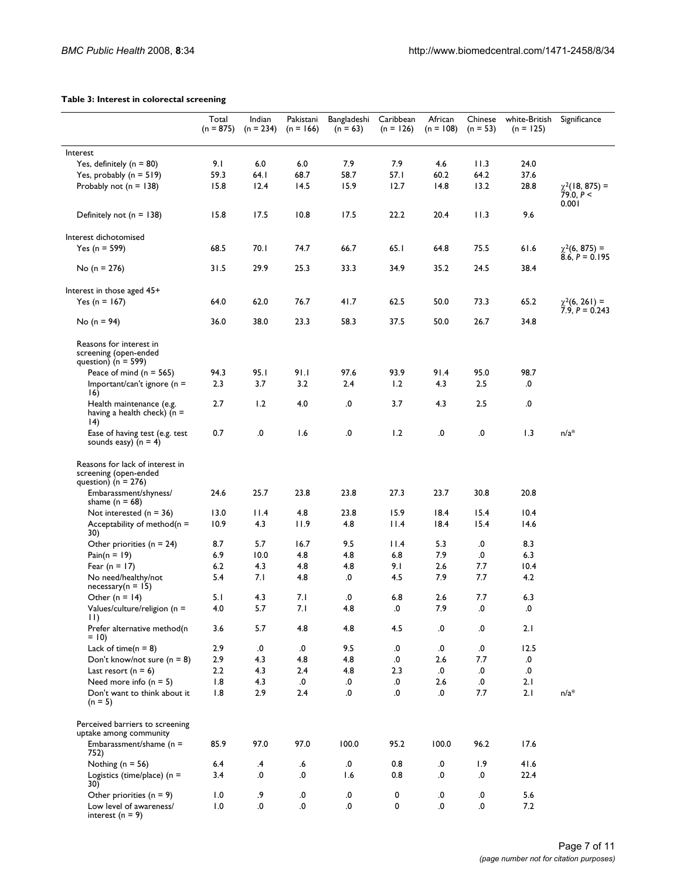#### **Table 3: Interest in colorectal screening**

|                                                                                 | Total<br>$(n = 875)$ | Indian<br>$(n = 234)$ | Pakistani<br>$(n = 166)$ | Bangladeshi<br>$(n = 63)$ | Caribbean<br>$(n = 126)$ | African<br>$(n = 108)$ | Chinese<br>$(n = 53)$ | white-British Significance<br>$(n = 125)$ |                                        |
|---------------------------------------------------------------------------------|----------------------|-----------------------|--------------------------|---------------------------|--------------------------|------------------------|-----------------------|-------------------------------------------|----------------------------------------|
| Interest                                                                        |                      |                       |                          |                           |                          |                        |                       |                                           |                                        |
| Yes, definitely $(n = 80)$                                                      | 9. I                 | 6.0                   | 6.0                      | 7.9                       | 7.9                      | 4.6                    | 11.3                  | 24.0                                      |                                        |
| Yes, probably $(n = 519)$                                                       | 59.3                 | 64.1                  | 68.7                     | 58.7                      | 57.I                     | 60.2                   | 64.2                  | 37.6                                      |                                        |
| Probably not $(n = 138)$                                                        | 15.8                 | 12.4                  | 14.5                     | 15.9                      | 12.7                     | 14.8                   | 13.2                  | 28.8                                      | $\chi^2(18, 875) =$                    |
|                                                                                 |                      |                       |                          |                           |                          |                        |                       |                                           | 79.0, $P <$                            |
| Definitely not (n = 138)                                                        | 15.8                 | 17.5                  | 10.8                     | 17.5                      | 22.2                     | 20.4                   | 11.3                  | 9.6                                       | 0.001                                  |
| Interest dichotomised                                                           |                      |                       |                          |                           |                          |                        |                       |                                           |                                        |
| Yes ( $n = 599$ )                                                               | 68.5                 | 70.I                  | 74.7                     | 66.7                      | 65.1                     | 64.8                   | 75.5                  | 61.6                                      | $\chi^2(6, 875) =$<br>$8.6, P = 0.195$ |
| No (n = 276)                                                                    | 31.5                 | 29.9                  | 25.3                     | 33.3                      | 34.9                     | 35.2                   | 24.5                  | 38.4                                      |                                        |
| Interest in those aged 45+                                                      |                      |                       |                          |                           |                          |                        |                       |                                           |                                        |
| Yes (n = 167)                                                                   | 64.0                 | 62.0                  | 76.7                     | 41.7                      | 62.5                     | 50.0                   | 73.3                  | 65.2                                      | $\chi^2(6, 261) =$                     |
|                                                                                 |                      |                       |                          |                           |                          |                        |                       |                                           | $7.9, P = 0.243$                       |
| No (n = 94)                                                                     | 36.0                 | 38.0                  | 23.3                     | 58.3                      | 37.5                     | 50.0                   | 26.7                  | 34.8                                      |                                        |
| Reasons for interest in<br>screening (open-ended<br>question) ( $n = 599$ )     |                      |                       |                          |                           |                          |                        |                       |                                           |                                        |
| Peace of mind $(n = 565)$                                                       | 94.3                 | 95.I                  | 91.I                     | 97.6                      | 93.9                     | 91.4                   | 95.0                  | 98.7                                      |                                        |
| $Important/can't ignore (n =$<br>16)                                            | 2.3                  | 3.7                   | 3.2                      | 2.4                       | 1.2                      | 4.3                    | 2.5                   | .0                                        |                                        |
| Health maintenance (e.g.<br>having a health check) ( $n =$<br>$ 4\rangle$       | 2.7                  | 1.2                   | 4.0                      | .0                        | 3.7                      | 4.3                    | 2.5                   | $\Omega$                                  |                                        |
| Ease of having test (e.g. test<br>sounds easy) $(n = 4)$                        | 0.7                  | .0                    | 1.6                      | .0                        | 1.2                      | .0                     | .0                    | 1.3                                       | $n/a^*$                                |
| Reasons for lack of interest in<br>screening (open-ended<br>question) (n = 276) |                      |                       |                          |                           |                          |                        |                       |                                           |                                        |
| Embarassment/shyness/<br>shame $(n = 68)$                                       | 24.6                 | 25.7                  | 23.8                     | 23.8                      | 27.3                     | 23.7                   | 30.8                  | 20.8                                      |                                        |
| Not interested ( $n = 36$ )                                                     | 13.0                 | 11.4                  | 4.8                      | 23.8                      | 15.9                     | 18.4                   | 15.4                  | 10.4                                      |                                        |
| Acceptability of method( $n =$<br>30)                                           | 10.9                 | 4.3                   | 11.9                     | 4.8                       | 11.4                     | 18.4                   | 15.4                  | 14.6                                      |                                        |
| Other priorities ( $n = 24$ )                                                   | 8.7                  | 5.7                   | 16.7                     | 9.5                       | 11.4                     | 5.3                    | .0                    | 8.3                                       |                                        |
| $Pain(n = 19)$                                                                  | 6.9                  | 10.0                  | 4.8                      | 4.8                       | 6.8                      | 7.9                    | .0                    | 6.3                                       |                                        |
| Fear (n = 17)                                                                   | 6.2                  | 4.3                   | 4.8                      | 4.8                       | 9.1                      | 2.6                    | 7.7                   | 10.4                                      |                                        |
| No need/healthy/not<br>$necessary(n = 15)$                                      | 5.4                  | 7.1                   | 4.8                      | .0                        | 4.5                      | 7.9                    | 7.7                   | 4.2                                       |                                        |
| Other (n = $14$ )                                                               | 5. I                 | 4.3                   | 7. I                     | .0                        | 6.8                      | 2.6                    | 7.7                   | 6.3                                       |                                        |
| Values/culture/religion (n =<br>$\vert \vert$                                   | 4.0                  | 5.7                   | 7.1                      | 4.8                       | .0                       | 7.9                    | .0                    | .0                                        |                                        |
| Prefer alternative method(n<br>$= 10$                                           | 3.6                  | 5.7                   | 4.8                      | 4.8                       | 4.5                      | .0                     | .0                    | 2.1                                       |                                        |
| Lack of time( $n = 8$ )                                                         | 2.9                  | .0                    | .0                       | 9.5                       | .0                       | $\cdot$                | .0                    | 12.5                                      |                                        |
| Don't know/not sure $(n = 8)$                                                   | 2.9                  | 4.3                   | 4.8                      | 4.8                       | 0.                       | 2.6                    | 7.7                   | 0.                                        |                                        |
| Last resort $(n = 6)$                                                           | 2.2                  | 4.3                   | 2.4                      | 4.8                       | 2.3                      | 0.                     | $\cdot$               | $\boldsymbol{0}$                          |                                        |
| Need more info $(n = 5)$                                                        | 1.8                  | 4.3                   | .0                       | .0                        | .0                       | 2.6                    | .0                    | 2.1                                       |                                        |
| Don't want to think about it<br>$(n = 5)$                                       | 1.8                  | 2.9                   | 2.4                      | .0                        | .0                       | 0.                     | 7.7                   | 2.1                                       | $n/a^*$                                |
| Perceived barriers to screening<br>uptake among community                       |                      |                       |                          |                           |                          |                        |                       |                                           |                                        |
| Embarassment/shame (n =<br>752)                                                 | 85.9                 | 97.0                  | 97.0                     | 100.0                     | 95.2                     | 100.0                  | 96.2                  | 17.6                                      |                                        |
| Nothing $(n = 56)$                                                              | 6.4                  | .4                    | .6                       | 0.                        | 0.8                      | 0.                     | 1.9                   | 41.6                                      |                                        |
| Logistics (time/place) ( $n =$<br>30)                                           | 3.4                  | .0                    | .0                       | 1.6                       | 0.8                      | 0.                     | .0                    | 22.4                                      |                                        |
| Other priorities $(n = 9)$                                                      | 1.0                  | .9                    | .0                       | $\cdot$                   | 0                        | 0.                     | .0                    | 5.6                                       |                                        |
| Low level of awareness/<br>interest ( $n = 9$ )                                 | 1.0                  | $\mathbf{0}$          | $\cdot$                  | $\mathbf{0}$              | 0                        | $\mathbf{0}$           | ${\bf 0}.$            | 7.2                                       |                                        |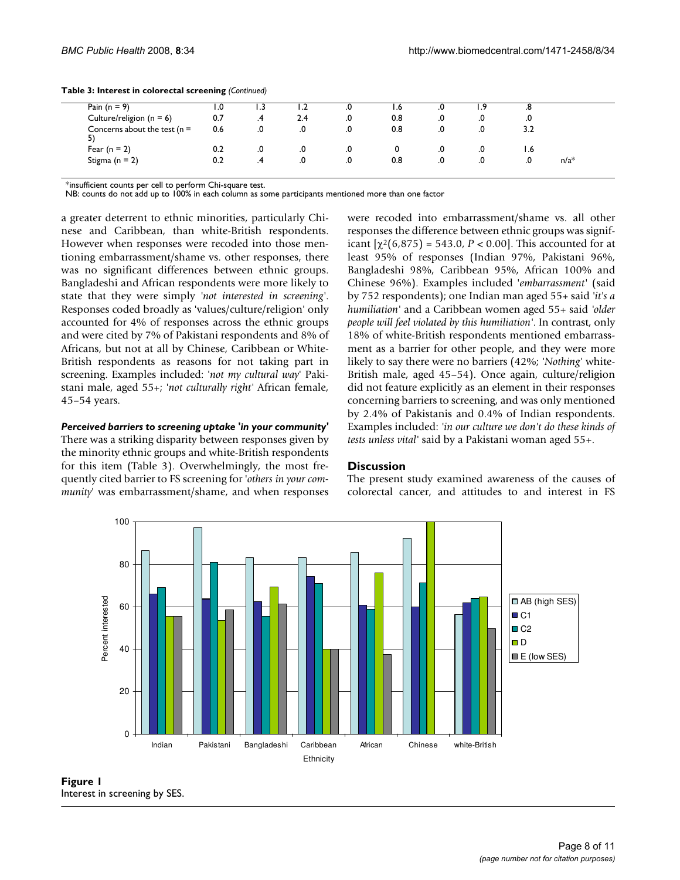| Pain $(n = 9)$                        | I.U | ر. ا | ـــ |    | 1.6 |    |      |         |
|---------------------------------------|-----|------|-----|----|-----|----|------|---------|
| Culture/religion ( $n = 6$ )          | 0.7 |      | 2.4 | .0 | 0.8 | .υ |      |         |
| Concerns about the test ( $n =$<br>5) | 0.6 | .0   |     |    | 0.8 | .U |      |         |
| Fear $(n = 2)$                        | 0.2 |      |     | .υ |     |    | ه. ا |         |
| Stigma ( $n = 2$ )                    | 0.2 | 4    |     | .υ | 0.8 | .u |      | $n/a^*$ |

#### **Table 3: Interest in colorectal screening** *(Continued)*

\*insufficient counts per cell to perform Chi-square test.

NB: counts do not add up to 100% in each column as some participants mentioned more than one factor

a greater deterrent to ethnic minorities, particularly Chinese and Caribbean, than white-British respondents. However when responses were recoded into those mentioning embarrassment/shame vs. other responses, there was no significant differences between ethnic groups. Bangladeshi and African respondents were more likely to state that they were simply *'not interested in screening'*. Responses coded broadly as 'values/culture/religion' only accounted for 4% of responses across the ethnic groups and were cited by 7% of Pakistani respondents and 8% of Africans, but not at all by Chinese, Caribbean or White-British respondents as reasons for not taking part in screening. Examples included: '*not my cultural way*' Pakistani male, aged 55+; '*not culturally right'* African female, 45–54 years.

*Perceived barriers to screening uptake 'in your community'*

There was a striking disparity between responses given by the minority ethnic groups and white-British respondents for this item (Table 3). Overwhelmingly, the most frequently cited barrier to FS screening for '*others in your community*' was embarrassment/shame, and when responses were recoded into embarrassment/shame vs. all other responses the difference between ethnic groups was significant  $[\gamma^2(6,875) = 543.0, P < 0.00]$ . This accounted for at least 95% of responses (Indian 97%, Pakistani 96%, Bangladeshi 98%, Caribbean 95%, African 100% and Chinese 96%). Examples included '*embarrassment'* (said by 752 respondents); one Indian man aged 55+ said *'it's a humiliation'* and a Caribbean women aged 55+ said *'older people will feel violated by this humiliation'*. In contrast, only 18% of white-British respondents mentioned embarrassment as a barrier for other people, and they were more likely to say there were no barriers (42%; *'Nothing'* white-British male, aged 45–54). Once again, culture/religion did not feature explicitly as an element in their responses concerning barriers to screening, and was only mentioned by 2.4% of Pakistanis and 0.4% of Indian respondents. Examples included: *'in our culture we don't do these kinds of tests unless vital'* said by a Pakistani woman aged 55+.

#### **Discussion**

The present study examined awareness of the causes of colorectal cancer, and attitudes to and interest in FS



**Figure 1** Interest in screening by SES.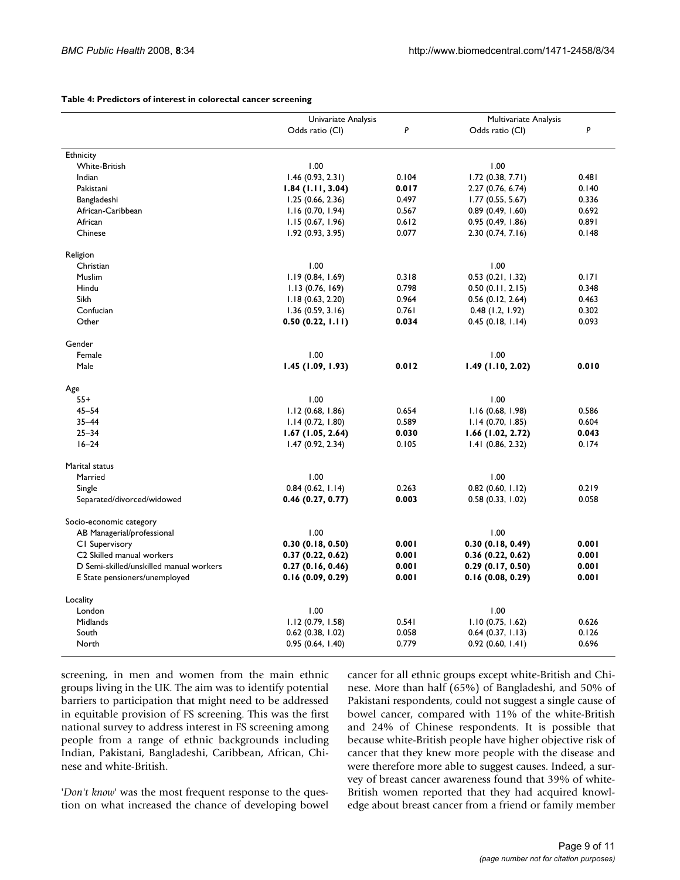#### **Table 4: Predictors of interest in colorectal cancer screening**

|                                         | Univariate Analysis |       | Multivariate Analysis |       |  |
|-----------------------------------------|---------------------|-------|-----------------------|-------|--|
|                                         | Odds ratio (CI)     | P     | Odds ratio (CI)       | P     |  |
| Ethnicity                               |                     |       |                       |       |  |
| <b>White-British</b>                    | 1.00                |       | 1.00                  |       |  |
| Indian                                  | 1.46(0.93, 2.31)    | 0.104 | $1.72$ (0.38, 7.71)   | 0.481 |  |
| Pakistani                               | $1.84$ (1.11, 3.04) | 0.017 | 2.27 (0.76, 6.74)     | 0.140 |  |
| Bangladeshi                             | 1.25(0.66, 2.36)    | 0.497 | 1.77(0.55, 5.67)      | 0.336 |  |
| African-Caribbean                       | 1.16(0.70, 1.94)    | 0.567 | 0.89(0.49, 1.60)      | 0.692 |  |
| African                                 | 1.15(0.67, 1.96)    | 0.612 | 0.95(0.49, 1.86)      | 0.891 |  |
| Chinese                                 | 1.92(0.93, 3.95)    | 0.077 | 2.30(0.74, 7.16)      | 0.148 |  |
| Religion                                |                     |       |                       |       |  |
| Christian                               | 1.00                |       | 1.00                  |       |  |
| Muslim                                  | 1.19(0.84, 1.69)    | 0.318 | 0.53(0.21, 1.32)      | 0.171 |  |
| Hindu                                   | 1.13(0.76, 169)     | 0.798 | 0.50(0.11, 2.15)      | 0.348 |  |
| Sikh                                    | 1.18(0.63, 2.20)    | 0.964 | $0.56$ $(0.12, 2.64)$ | 0.463 |  |
| Confucian                               | 1.36(0.59, 3.16)    | 0.761 | $0.48$ (1.2, 1.92)    | 0.302 |  |
| Other                                   | 0.50(0.22, 1.11)    | 0.034 | 0.45(0.18, 1.14)      | 0.093 |  |
| Gender                                  |                     |       |                       |       |  |
| Female                                  | 1.00                |       | 1.00                  |       |  |
| Male                                    | 1.45(1.09, 1.93)    | 0.012 | $1.49$ (1.10, 2.02)   | 0.010 |  |
| Age                                     |                     |       |                       |       |  |
| $55+$                                   | 1.00                |       | 1.00                  |       |  |
| $45 - 54$                               | 1.12(0.68, 1.86)    | 0.654 | 1.16(0.68, 1.98)      | 0.586 |  |
| $35 - 44$                               | 1.14(0.72, 1.80)    | 0.589 | 1.14(0.70, 1.85)      | 0.604 |  |
| $25 - 34$                               | 1.67(1.05, 2.64)    | 0.030 | $1.66$ (1.02, 2.72)   | 0.043 |  |
| $16 - 24$                               | 1.47(0.92, 2.34)    | 0.105 | 1.41(0.86, 2.32)      | 0.174 |  |
| Marital status                          |                     |       |                       |       |  |
| Married                                 | 1.00                |       | 1.00                  |       |  |
| Single                                  | 0.84(0.62, 1.14)    | 0.263 | $0.82$ (0.60, 1.12)   | 0.219 |  |
| Separated/divorced/widowed              | 0.46(0.27, 0.77)    | 0.003 | 0.58(0.33, 1.02)      | 0.058 |  |
| Socio-economic category                 |                     |       |                       |       |  |
| AB Managerial/professional              | 1.00                |       | 1.00                  |       |  |
| CI Supervisory                          | 0.30(0.18, 0.50)    | 0.001 | 0.30(0.18, 0.49)      | 0.001 |  |
| C2 Skilled manual workers               | 0.37(0.22, 0.62)    | 0.001 | 0.36(0.22, 0.62)      | 0.001 |  |
| D Semi-skilled/unskilled manual workers | 0.27(0.16, 0.46)    | 0.001 | 0.29(0.17, 0.50)      | 0.001 |  |
| E State pensioners/unemployed           | 0.16(0.09, 0.29)    | 0.001 | 0.16(0.08, 0.29)      | 0.001 |  |
| Locality                                |                     |       |                       |       |  |
| London                                  | 1.00                |       | 1.00                  |       |  |
| Midlands                                | 1.12(0.79, 1.58)    | 0.541 | 1.10(0.75, 1.62)      | 0.626 |  |
| South                                   | $0.62$ (0.38, 1.02) | 0.058 | 0.64(0.37, 1.13)      | 0.126 |  |
| North                                   | 0.95(0.64, 1.40)    | 0.779 | 0.92(0.60, 1.41)      | 0.696 |  |

screening, in men and women from the main ethnic groups living in the UK. The aim was to identify potential barriers to participation that might need to be addressed in equitable provision of FS screening. This was the first national survey to address interest in FS screening among people from a range of ethnic backgrounds including Indian, Pakistani, Bangladeshi, Caribbean, African, Chinese and white-British.

'*Don't know*' was the most frequent response to the question on what increased the chance of developing bowel cancer for all ethnic groups except white-British and Chinese. More than half (65%) of Bangladeshi, and 50% of Pakistani respondents, could not suggest a single cause of bowel cancer, compared with 11% of the white-British and 24% of Chinese respondents. It is possible that because white-British people have higher objective risk of cancer that they knew more people with the disease and were therefore more able to suggest causes. Indeed, a survey of breast cancer awareness found that 39% of white-British women reported that they had acquired knowledge about breast cancer from a friend or family member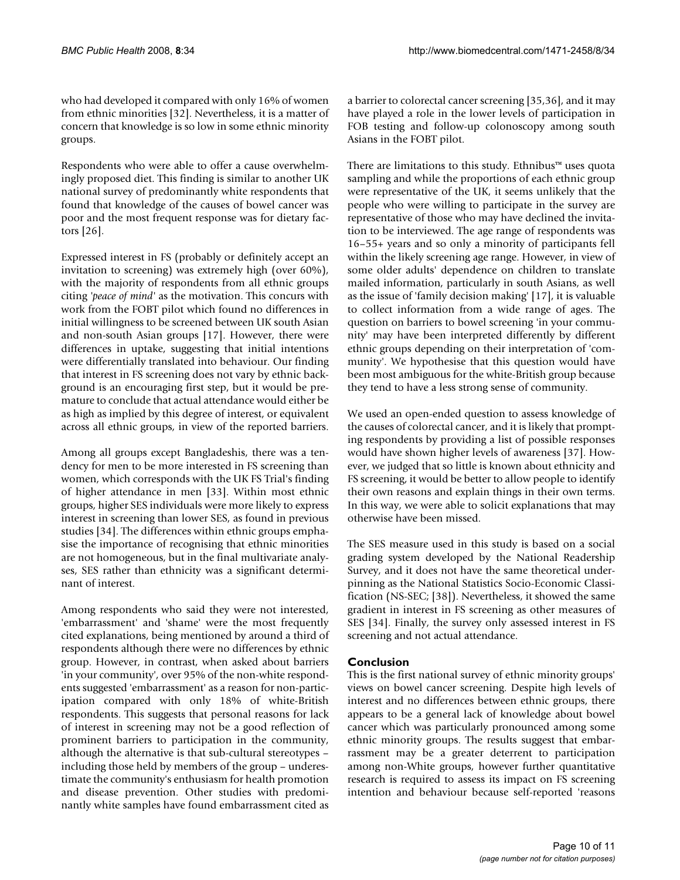who had developed it compared with only 16% of women from ethnic minorities [32]. Nevertheless, it is a matter of concern that knowledge is so low in some ethnic minority groups.

Respondents who were able to offer a cause overwhelmingly proposed diet. This finding is similar to another UK national survey of predominantly white respondents that found that knowledge of the causes of bowel cancer was poor and the most frequent response was for dietary factors [26].

Expressed interest in FS (probably or definitely accept an invitation to screening) was extremely high (over 60%), with the majority of respondents from all ethnic groups citing *'peace of mind'* as the motivation. This concurs with work from the FOBT pilot which found no differences in initial willingness to be screened between UK south Asian and non-south Asian groups [17]. However, there were differences in uptake, suggesting that initial intentions were differentially translated into behaviour. Our finding that interest in FS screening does not vary by ethnic background is an encouraging first step, but it would be premature to conclude that actual attendance would either be as high as implied by this degree of interest, or equivalent across all ethnic groups, in view of the reported barriers.

Among all groups except Bangladeshis, there was a tendency for men to be more interested in FS screening than women, which corresponds with the UK FS Trial's finding of higher attendance in men [33]. Within most ethnic groups, higher SES individuals were more likely to express interest in screening than lower SES, as found in previous studies [34]. The differences within ethnic groups emphasise the importance of recognising that ethnic minorities are not homogeneous, but in the final multivariate analyses, SES rather than ethnicity was a significant determinant of interest.

Among respondents who said they were not interested, 'embarrassment' and 'shame' were the most frequently cited explanations, being mentioned by around a third of respondents although there were no differences by ethnic group. However, in contrast, when asked about barriers 'in your community', over 95% of the non-white respondents suggested 'embarrassment' as a reason for non-participation compared with only 18% of white-British respondents. This suggests that personal reasons for lack of interest in screening may not be a good reflection of prominent barriers to participation in the community, although the alternative is that sub-cultural stereotypes – including those held by members of the group – underestimate the community's enthusiasm for health promotion and disease prevention. Other studies with predominantly white samples have found embarrassment cited as a barrier to colorectal cancer screening [35,36], and it may have played a role in the lower levels of participation in FOB testing and follow-up colonoscopy among south Asians in the FOBT pilot.

There are limitations to this study. Ethnibus™ uses quota sampling and while the proportions of each ethnic group were representative of the UK, it seems unlikely that the people who were willing to participate in the survey are representative of those who may have declined the invitation to be interviewed. The age range of respondents was 16–55+ years and so only a minority of participants fell within the likely screening age range. However, in view of some older adults' dependence on children to translate mailed information, particularly in south Asians, as well as the issue of 'family decision making' [17], it is valuable to collect information from a wide range of ages. The question on barriers to bowel screening 'in your community' may have been interpreted differently by different ethnic groups depending on their interpretation of 'community'. We hypothesise that this question would have been most ambiguous for the white-British group because they tend to have a less strong sense of community.

We used an open-ended question to assess knowledge of the causes of colorectal cancer, and it is likely that prompting respondents by providing a list of possible responses would have shown higher levels of awareness [37]. However, we judged that so little is known about ethnicity and FS screening, it would be better to allow people to identify their own reasons and explain things in their own terms. In this way, we were able to solicit explanations that may otherwise have been missed.

The SES measure used in this study is based on a social grading system developed by the National Readership Survey, and it does not have the same theoretical underpinning as the National Statistics Socio-Economic Classification (NS-SEC; [38]). Nevertheless, it showed the same gradient in interest in FS screening as other measures of SES [34]. Finally, the survey only assessed interest in FS screening and not actual attendance.

#### **Conclusion**

This is the first national survey of ethnic minority groups' views on bowel cancer screening. Despite high levels of interest and no differences between ethnic groups, there appears to be a general lack of knowledge about bowel cancer which was particularly pronounced among some ethnic minority groups. The results suggest that embarrassment may be a greater deterrent to participation among non-White groups, however further quantitative research is required to assess its impact on FS screening intention and behaviour because self-reported 'reasons